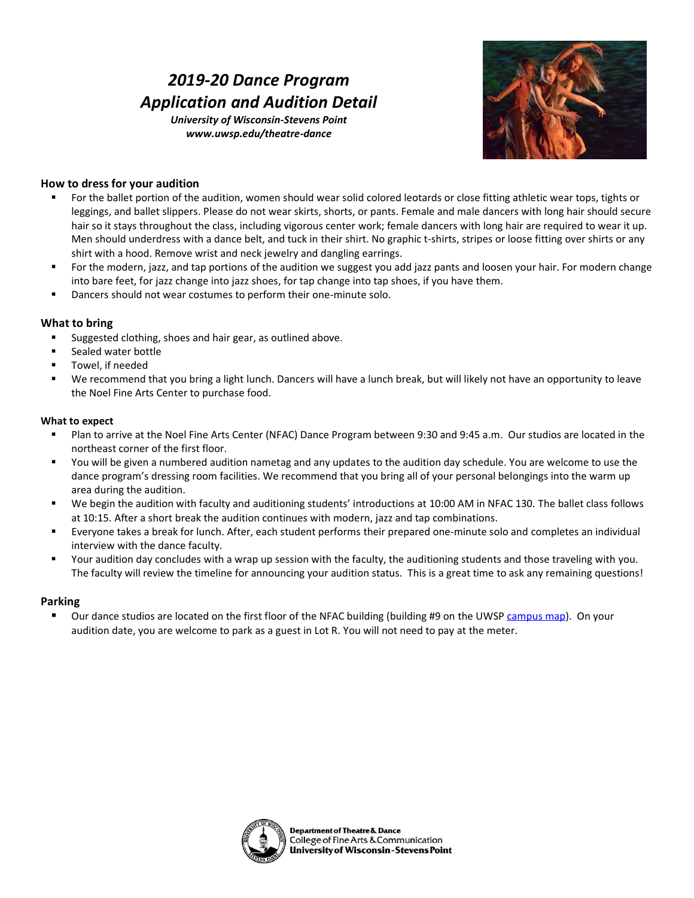# *2019-20 Dance Program Application and Audition Detail*

*University of Wisconsin-Stevens Point www.uwsp.edu/theatre-dance*



# **How to dress for your audition**

- For the ballet portion of the audition, women should wear solid colored leotards or close fitting athletic wear tops, tights or leggings, and ballet slippers. Please do not wear skirts, shorts, or pants. Female and male dancers with long hair should secure hair so it stays throughout the class, including vigorous center work; female dancers with long hair are required to wear it up. Men should underdress with a dance belt, and tuck in their shirt. No graphic t-shirts, stripes or loose fitting over shirts or any shirt with a hood. Remove wrist and neck jewelry and dangling earrings.
- For the modern, jazz, and tap portions of the audition we suggest you add jazz pants and loosen your hair. For modern change into bare feet, for jazz change into jazz shoes, for tap change into tap shoes, if you have them.
- Dancers should not wear costumes to perform their one-minute solo.

### **What to bring**

- Suggested clothing, shoes and hair gear, as outlined above.
- Sealed water bottle
- Towel, if needed
- We recommend that you bring a light lunch. Dancers will have a lunch break, but will likely not have an opportunity to leave the Noel Fine Arts Center to purchase food.

#### **What to expect**

- Plan to arrive at the Noel Fine Arts Center (NFAC) Dance Program between 9:30 and 9:45 a.m. Our studios are located in the northeast corner of the first floor.
- You will be given a numbered audition nametag and any updates to the audition day schedule. You are welcome to use the dance program's dressing room facilities. We recommend that you bring all of your personal belongings into the warm up area during the audition.
- We begin the audition with faculty and auditioning students' introductions at 10:00 AM in NFAC 130. The ballet class follows at 10:15. After a short break the audition continues with modern, jazz and tap combinations.
- Everyone takes a break for lunch. After, each student performs their prepared one-minute solo and completes an individual interview with the dance faculty.
- Your audition day concludes with a wrap up session with the faculty, the auditioning students and those traveling with you. The faculty will review the timeline for announcing your audition status. This is a great time to ask any remaining questions!

#### **Parking**

■ Our dance studios are located on the first floor of the NFAC building (building #9 on the UWS[P campus map\)](http://www.uwsp.edu/landing/Pages/campusMap.aspx). On your audition date, you are welcome to park as a guest in Lot R. You will not need to pay at the meter.